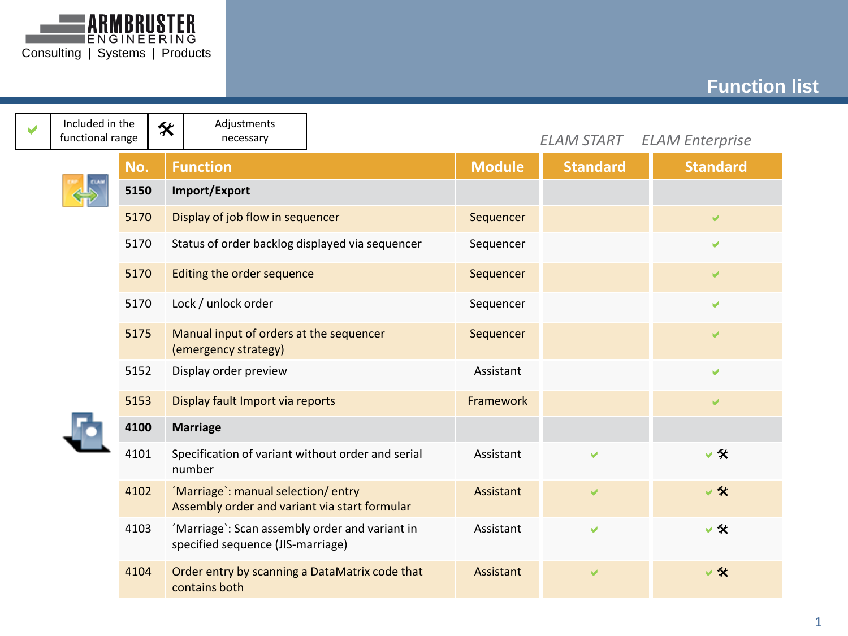

## **Function list**

| V | Included in the<br>functional range |      | <b>父</b> | Adjustments<br>necessary                                                            |               | <b>ELAM START</b> | <b>ELAM Enterprise</b> |
|---|-------------------------------------|------|----------|-------------------------------------------------------------------------------------|---------------|-------------------|------------------------|
|   | No.                                 |      |          | <b>Function</b>                                                                     | <b>Module</b> | <b>Standard</b>   | <b>Standard</b>        |
|   |                                     | 5150 |          | Import/Export                                                                       |               |                   |                        |
|   |                                     | 5170 |          | Display of job flow in sequencer                                                    | Sequencer     |                   | v                      |
|   |                                     | 5170 |          | Status of order backlog displayed via sequencer                                     | Sequencer     |                   | V                      |
|   |                                     | 5170 |          | Editing the order sequence                                                          | Sequencer     |                   | V                      |
|   |                                     | 5170 |          | Lock / unlock order                                                                 | Sequencer     |                   | V                      |
|   |                                     | 5175 |          | Manual input of orders at the sequencer<br>(emergency strategy)                     | Sequencer     |                   | V                      |
|   |                                     | 5152 |          | Display order preview                                                               | Assistant     |                   | V                      |
|   |                                     | 5153 |          | Display fault Import via reports                                                    | Framework     |                   | V                      |
|   |                                     | 4100 |          | <b>Marriage</b>                                                                     |               |                   |                        |
|   |                                     | 4101 |          | Specification of variant without order and serial<br>number                         | Assistant     | V                 | $\vee$ %               |
|   |                                     | 4102 |          | 'Marriage': manual selection/entry<br>Assembly order and variant via start formular | Assistant     | v                 | $\vee$ %               |
|   |                                     | 4103 |          | 'Marriage': Scan assembly order and variant in<br>specified sequence (JIS-marriage) | Assistant     | V                 | $\vee$ %               |
|   |                                     | 4104 |          | Order entry by scanning a DataMatrix code that<br>contains both                     | Assistant     | Ō.                | v %                    |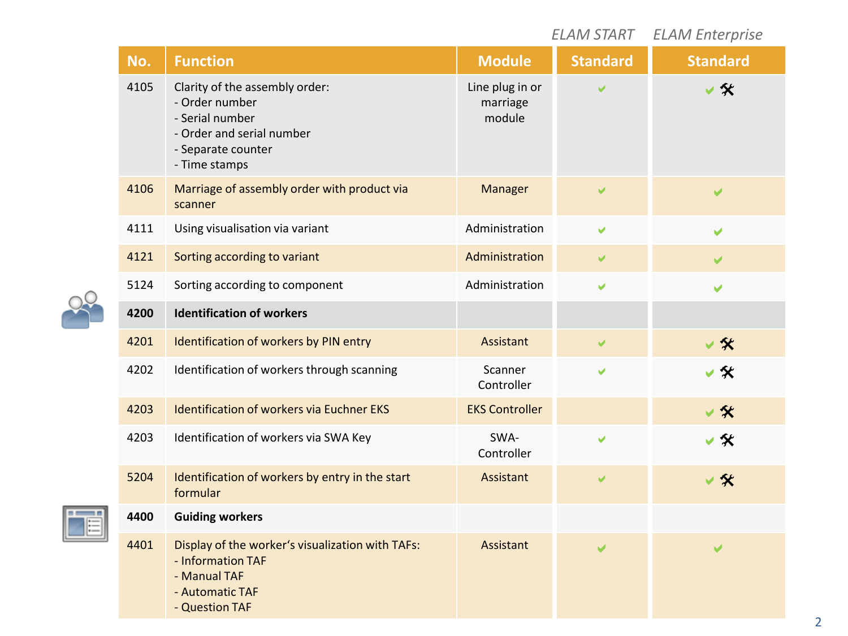|      |                                                                                                                                         |                                       | <b>ELAM START</b>     | <b>ELAM Enterprise</b> |
|------|-----------------------------------------------------------------------------------------------------------------------------------------|---------------------------------------|-----------------------|------------------------|
| No.  | <b>Function</b>                                                                                                                         | <b>Module</b>                         | <b>Standard</b>       | <b>Standard</b>        |
| 4105 | Clarity of the assembly order:<br>- Order number<br>- Serial number<br>- Order and serial number<br>- Separate counter<br>- Time stamps | Line plug in or<br>marriage<br>module |                       |                        |
| 4106 | Marriage of assembly order with product via<br>scanner                                                                                  | Manager                               | V                     | V                      |
| 4111 | Using visualisation via variant                                                                                                         | Administration                        | V                     | V                      |
| 4121 | Sorting according to variant                                                                                                            | Administration                        | V                     | ✔                      |
| 5124 | Sorting according to component                                                                                                          | Administration                        | V                     | ✔                      |
| 4200 | <b>Identification of workers</b>                                                                                                        |                                       |                       |                        |
| 4201 | Identification of workers by PIN entry                                                                                                  | Assistant                             | V                     | ▽ 矢                    |
| 4202 | Identification of workers through scanning                                                                                              | Scanner<br>Controller                 | V                     | ✔ 父                    |
| 4203 | <b>Identification of workers via Euchner EKS</b>                                                                                        | <b>EKS Controller</b>                 |                       | $\vee$ %               |
| 4203 | Identification of workers via SWA Key                                                                                                   | SWA-<br>Controller                    | ✔                     | v ≪                    |
| 5204 | Identification of workers by entry in the start<br>formular                                                                             | Assistant                             | $\blacktriangleright$ | $\vee$ %               |
| 4400 | <b>Guiding workers</b>                                                                                                                  |                                       |                       |                        |
| 4401 | Display of the worker's visualization with TAFs:<br>- Information TAF<br>- Manual TAF<br>- Automatic TAF<br>- Question TAF              | Assistant                             |                       |                        |



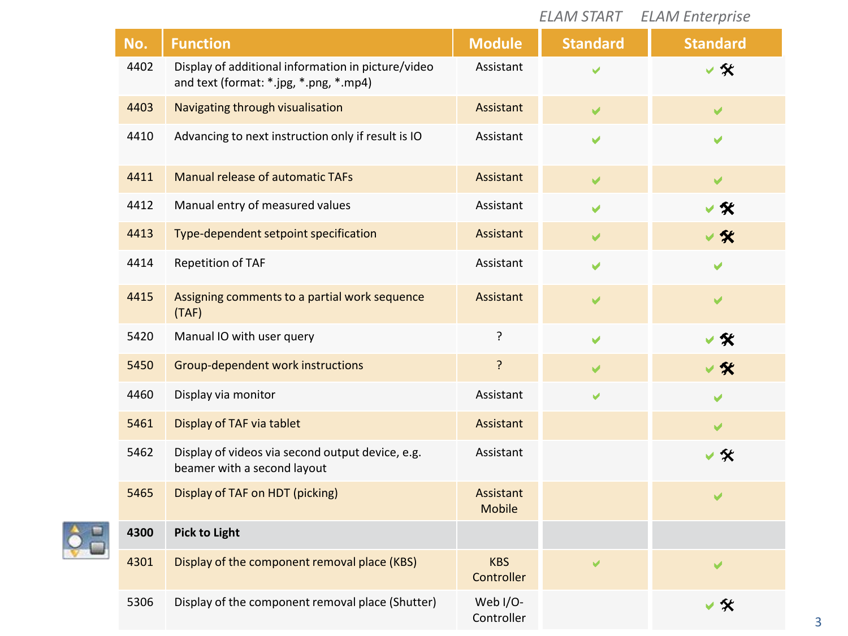|      |                                                                                              |                            | <b>ELAM START</b> | <b>ELAM Enterprise</b>  |
|------|----------------------------------------------------------------------------------------------|----------------------------|-------------------|-------------------------|
| No.  | <b>Function</b>                                                                              | <b>Module</b>              | <b>Standard</b>   | <b>Standard</b>         |
| 4402 | Display of additional information in picture/video<br>and text (format: *.jpg, *.png, *.mp4) | Assistant                  |                   | √父                      |
| 4403 | Navigating through visualisation                                                             | Assistant                  | V                 | $\blacktriangleright$   |
| 4410 | Advancing to next instruction only if result is IO                                           | Assistant                  | V                 | V                       |
| 4411 | Manual release of automatic TAFs                                                             | Assistant                  | ✔                 | $\overline{\mathbf{v}}$ |
| 4412 | Manual entry of measured values                                                              | Assistant                  | V                 |                         |
| 4413 | Type-dependent setpoint specification                                                        | Assistant                  | V                 |                         |
| 4414 | Repetition of TAF                                                                            | Assistant                  | V                 |                         |
| 4415 | Assigning comments to a partial work sequence<br>(TAF)                                       | Assistant                  | ✔                 | ✔                       |
| 5420 | Manual IO with user query                                                                    | ?                          | ✔                 | ∨≪                      |
| 5450 | Group-dependent work instructions                                                            | ?                          | V                 | √ %                     |
| 4460 | Display via monitor                                                                          | Assistant                  | V                 |                         |
| 5461 | Display of TAF via tablet                                                                    | Assistant                  |                   | ✔                       |
| 5462 | Display of videos via second output device, e.g.<br>beamer with a second layout              | Assistant                  |                   | √ ≪                     |
| 5465 | Display of TAF on HDT (picking)                                                              | Assistant<br><b>Mobile</b> |                   |                         |
| 4300 | <b>Pick to Light</b>                                                                         |                            |                   |                         |
| 4301 | Display of the component removal place (KBS)                                                 | <b>KBS</b><br>Controller   | V                 | ✔                       |
| 5306 | Display of the component removal place (Shutter)                                             | Web I/O-<br>Controller     |                   | v ≪                     |

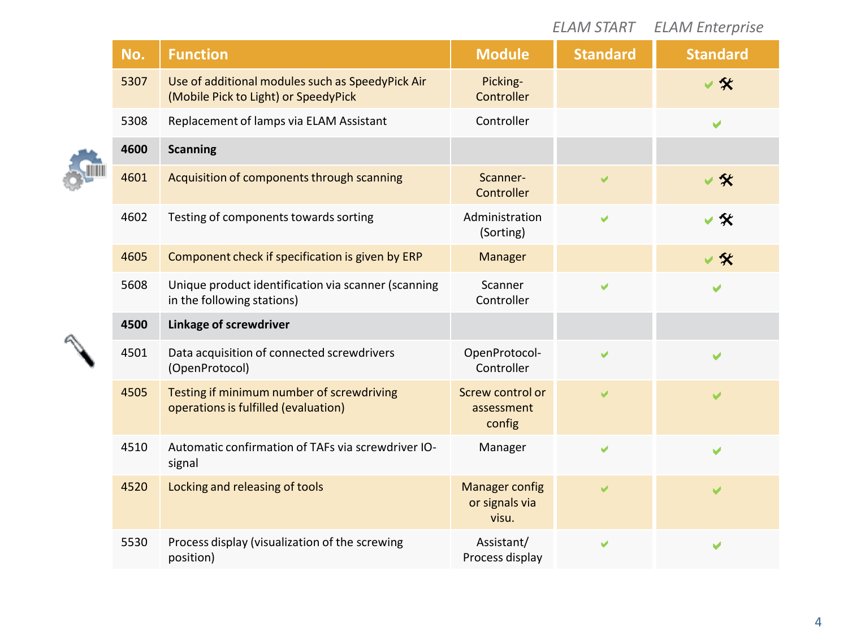|  |      |                                                                                          |                                                  | <b>ELAM START</b> | <b>ELAM Enterprise</b> |
|--|------|------------------------------------------------------------------------------------------|--------------------------------------------------|-------------------|------------------------|
|  | No.  | <b>Function</b>                                                                          | <b>Module</b>                                    | <b>Standard</b>   | <b>Standard</b>        |
|  | 5307 | Use of additional modules such as SpeedyPick Air<br>(Mobile Pick to Light) or SpeedyPick | Picking-<br>Controller                           |                   | $\vee$ %               |
|  | 5308 | Replacement of lamps via ELAM Assistant                                                  | Controller                                       |                   | V                      |
|  | 4600 | <b>Scanning</b>                                                                          |                                                  |                   |                        |
|  | 4601 | Acquisition of components through scanning                                               | Scanner-<br>Controller                           |                   | 父                      |
|  | 4602 | Testing of components towards sorting                                                    | Administration<br>(Sorting)                      | V                 | 父                      |
|  | 4605 | Component check if specification is given by ERP                                         | <b>Manager</b>                                   |                   | $\vee$ %               |
|  | 5608 | Unique product identification via scanner (scanning<br>in the following stations)        | Scanner<br>Controller                            | V                 | V                      |
|  | 4500 | Linkage of screwdriver                                                                   |                                                  |                   |                        |
|  | 4501 | Data acquisition of connected screwdrivers<br>(OpenProtocol)                             | OpenProtocol-<br>Controller                      | V                 | ✔                      |
|  | 4505 | Testing if minimum number of screwdriving<br>operations is fulfilled (evaluation)        | Screw control or<br>assessment<br>config         |                   |                        |
|  | 4510 | Automatic confirmation of TAFs via screwdriver IO-<br>signal                             | Manager                                          | V                 | V                      |
|  | 4520 | Locking and releasing of tools                                                           | <b>Manager config</b><br>or signals via<br>visu. |                   | ✔                      |
|  | 5530 | Process display (visualization of the screwing<br>position)                              | Assistant/<br>Process display                    | ✔                 | ✔                      |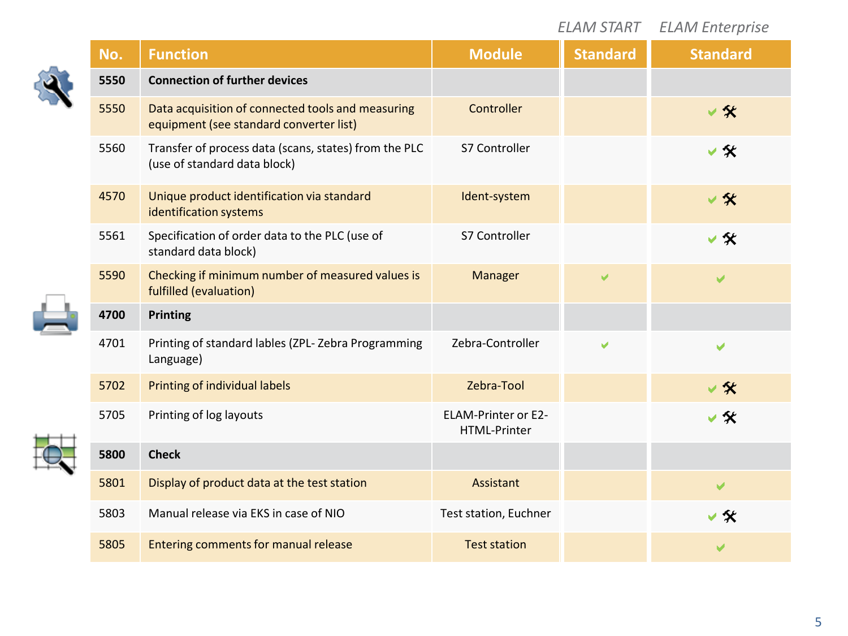|  |      |                                                                                              |                                     | <b>ELAM START</b> | <b>ELAM Enterprise</b> |
|--|------|----------------------------------------------------------------------------------------------|-------------------------------------|-------------------|------------------------|
|  | No.  | <b>Function</b>                                                                              | <b>Module</b>                       | <b>Standard</b>   | <b>Standard</b>        |
|  | 5550 | <b>Connection of further devices</b>                                                         |                                     |                   |                        |
|  | 5550 | Data acquisition of connected tools and measuring<br>equipment (see standard converter list) | Controller                          |                   | $\vee$ %               |
|  | 5560 | Transfer of process data (scans, states) from the PLC<br>(use of standard data block)        | S7 Controller                       |                   | ▽≪                     |
|  | 4570 | Unique product identification via standard<br>identification systems                         | Ident-system                        |                   | ▽ 矢                    |
|  | 5561 | Specification of order data to the PLC (use of<br>standard data block)                       | S7 Controller                       |                   | v ≪                    |
|  | 5590 | Checking if minimum number of measured values is<br>fulfilled (evaluation)                   | Manager                             | ✔                 | ✔                      |
|  | 4700 | Printing                                                                                     |                                     |                   |                        |
|  | 4701 | Printing of standard lables (ZPL-Zebra Programming<br>Language)                              | Zebra-Controller                    |                   | ✔                      |
|  | 5702 | Printing of individual labels                                                                | Zebra-Tool                          |                   | ▽ 父                    |
|  | 5705 | Printing of log layouts                                                                      | ELAM-Printer or E2-<br>HTML-Printer |                   | ▽≪                     |
|  | 5800 | <b>Check</b>                                                                                 |                                     |                   |                        |
|  | 5801 | Display of product data at the test station                                                  | Assistant                           |                   | ✔                      |
|  | 5803 | Manual release via EKS in case of NIO                                                        | Test station, Euchner               |                   | v ≪                    |
|  | 5805 | Entering comments for manual release                                                         | <b>Test station</b>                 |                   |                        |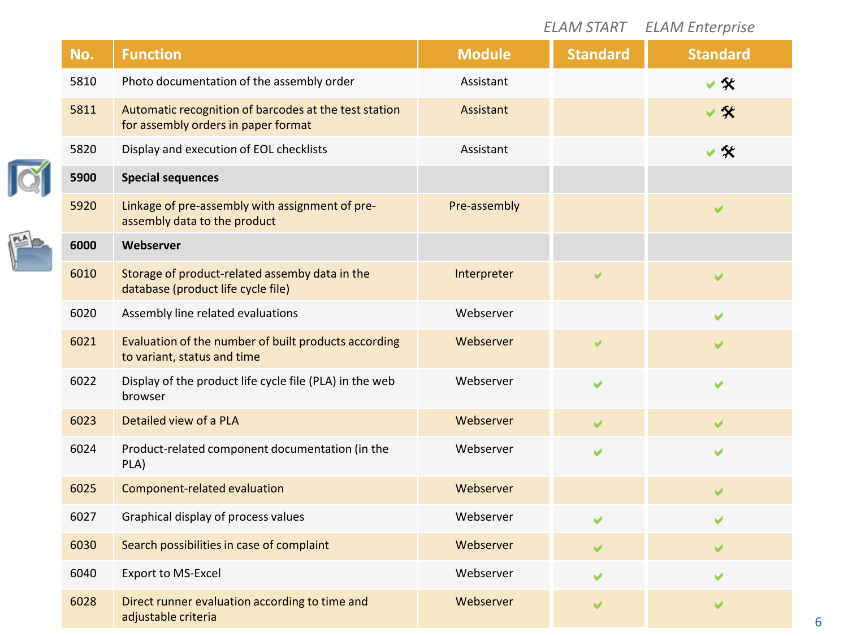|  |      |                                                                                              |               |                 | <b>ELAM START ELAM Enterprise</b> |
|--|------|----------------------------------------------------------------------------------------------|---------------|-----------------|-----------------------------------|
|  | No.  | <b>Function</b>                                                                              | <b>Module</b> | <b>Standard</b> | <b>Standard</b>                   |
|  | 5810 | Photo documentation of the assembly order                                                    | Assistant     |                 | v ≪                               |
|  | 5811 | Automatic recognition of barcodes at the test station<br>for assembly orders in paper format | Assistant     |                 | ✔ 父                               |
|  | 5820 | Display and execution of EOL checklists                                                      | Assistant     |                 | $\vee$ %                          |
|  | 5900 | <b>Special sequences</b>                                                                     |               |                 |                                   |
|  | 5920 | Linkage of pre-assembly with assignment of pre-<br>assembly data to the product              | Pre-assembly  |                 |                                   |
|  | 6000 | Webserver                                                                                    |               |                 |                                   |
|  | 6010 | Storage of product-related assemby data in the<br>database (product life cycle file)         | Interpreter   | ✔               | ✔                                 |
|  | 6020 | Assembly line related evaluations                                                            | Webserver     |                 | V                                 |
|  | 6021 | Evaluation of the number of built products according<br>to variant, status and time          | Webserver     | V               | ✔                                 |
|  | 6022 | Display of the product life cycle file (PLA) in the web<br>browser                           | Webserver     | ✔               | ✔                                 |
|  | 6023 | Detailed view of a PLA                                                                       | Webserver     | ✔               | U                                 |
|  | 6024 | Product-related component documentation (in the<br>PLA)                                      | Webserver     | ✔               | ✔                                 |
|  | 6025 | Component-related evaluation                                                                 | Webserver     |                 | V                                 |
|  | 6027 | Graphical display of process values                                                          | Webserver     | ✔               | ✔                                 |
|  | 6030 | Search possibilities in case of complaint                                                    | Webserver     | ✔               | ✔                                 |
|  | 6040 | Export to MS-Excel                                                                           | Webserver     | ✔               | ✔                                 |
|  | 6028 | Direct runner evaluation according to time and<br>adjustable criteria                        | Webserver     |                 |                                   |